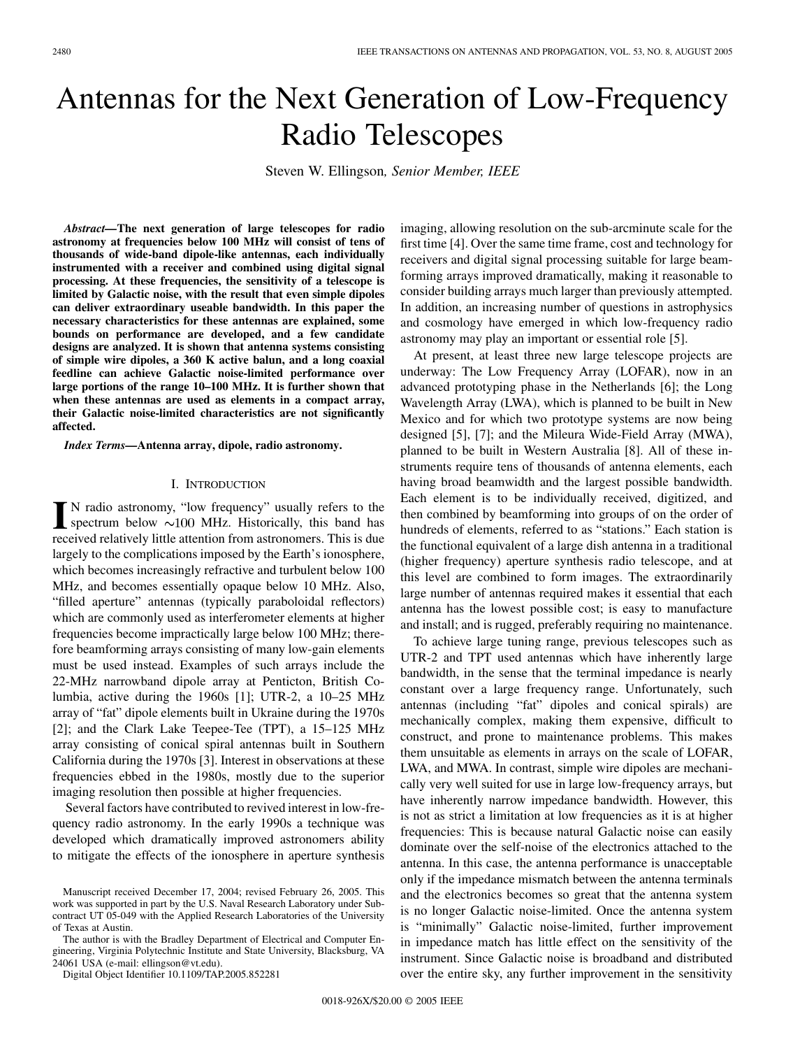# Antennas for the Next Generation of Low-Frequency Radio Telescopes

Steven W. Ellingson*, Senior Member, IEEE*

*Abstract—***The next generation of large telescopes for radio astronomy at frequencies below 100 MHz will consist of tens of thousands of wide-band dipole-like antennas, each individually instrumented with a receiver and combined using digital signal processing. At these frequencies, the sensitivity of a telescope is limited by Galactic noise, with the result that even simple dipoles can deliver extraordinary useable bandwidth. In this paper the necessary characteristics for these antennas are explained, some bounds on performance are developed, and a few candidate designs are analyzed. It is shown that antenna systems consisting of simple wire dipoles, a 360 K active balun, and a long coaxial feedline can achieve Galactic noise-limited performance over large portions of the range 10–100 MHz. It is further shown that when these antennas are used as elements in a compact array, their Galactic noise-limited characteristics are not significantly affected.**

*Index Terms—***Antenna array, dipole, radio astronomy.**

#### I. INTRODUCTION

 $\prod$  N radio astronomy, "low frequency" usually refers to the spectrum below  $\sim$ 100 MHz. Historically, this band has received relatively little attention from astronomers. This is due largely to the complications imposed by the Earth's ionosphere, which becomes increasingly refractive and turbulent below 100 MHz, and becomes essentially opaque below 10 MHz. Also, "filled aperture" antennas (typically paraboloidal reflectors) which are commonly used as interferometer elements at higher frequencies become impractically large below 100 MHz; therefore beamforming arrays consisting of many low-gain elements must be used instead. Examples of such arrays include the 22-MHz narrowband dipole array at Penticton, British Columbia, active during the 1960s [\[1](#page-8-0)]; UTR-2, a 10–25 MHz array of "fat" dipole elements built in Ukraine during the 1970s [[2\]](#page-9-0); and the Clark Lake Teepee-Tee (TPT), a 15–125 MHz array consisting of conical spiral antennas built in Southern California during the 1970s [[3\]](#page-9-0). Interest in observations at these frequencies ebbed in the 1980s, mostly due to the superior imaging resolution then possible at higher frequencies.

Several factors have contributed to revived interest in low-frequency radio astronomy. In the early 1990s a technique was developed which dramatically improved astronomers ability to mitigate the effects of the ionosphere in aperture synthesis

The author is with the Bradley Department of Electrical and Computer Engineering, Virginia Polytechnic Institute and State University, Blacksburg, VA 24061 USA (e-mail: ellingson@vt.edu).

Digital Object Identifier 10.1109/TAP.2005.852281

imaging, allowing resolution on the sub-arcminute scale for the first time [\[4](#page-9-0)]. Over the same time frame, cost and technology for receivers and digital signal processing suitable for large beamforming arrays improved dramatically, making it reasonable to consider building arrays much larger than previously attempted. In addition, an increasing number of questions in astrophysics and cosmology have emerged in which low-frequency radio astronomy may play an important or essential role [\[5](#page-9-0)].

At present, at least three new large telescope projects are underway: The Low Frequency Array (LOFAR), now in an advanced prototyping phase in the Netherlands [\[6](#page-9-0)]; the Long Wavelength Array (LWA), which is planned to be built in New Mexico and for which two prototype systems are now being designed [[5\]](#page-9-0), [\[7](#page-9-0)]; and the Mileura Wide-Field Array (MWA), planned to be built in Western Australia [\[8](#page-9-0)]. All of these instruments require tens of thousands of antenna elements, each having broad beamwidth and the largest possible bandwidth. Each element is to be individually received, digitized, and then combined by beamforming into groups of on the order of hundreds of elements, referred to as "stations." Each station is the functional equivalent of a large dish antenna in a traditional (higher frequency) aperture synthesis radio telescope, and at this level are combined to form images. The extraordinarily large number of antennas required makes it essential that each antenna has the lowest possible cost; is easy to manufacture and install; and is rugged, preferably requiring no maintenance.

To achieve large tuning range, previous telescopes such as UTR-2 and TPT used antennas which have inherently large bandwidth, in the sense that the terminal impedance is nearly constant over a large frequency range. Unfortunately, such antennas (including "fat" dipoles and conical spirals) are mechanically complex, making them expensive, difficult to construct, and prone to maintenance problems. This makes them unsuitable as elements in arrays on the scale of LOFAR, LWA, and MWA. In contrast, simple wire dipoles are mechanically very well suited for use in large low-frequency arrays, but have inherently narrow impedance bandwidth. However, this is not as strict a limitation at low frequencies as it is at higher frequencies: This is because natural Galactic noise can easily dominate over the self-noise of the electronics attached to the antenna. In this case, the antenna performance is unacceptable only if the impedance mismatch between the antenna terminals and the electronics becomes so great that the antenna system is no longer Galactic noise-limited. Once the antenna system is "minimally" Galactic noise-limited, further improvement in impedance match has little effect on the sensitivity of the instrument. Since Galactic noise is broadband and distributed over the entire sky, any further improvement in the sensitivity

Manuscript received December 17, 2004; revised February 26, 2005. This work was supported in part by the U.S. Naval Research Laboratory under Subcontract UT 05-049 with the Applied Research Laboratories of the University of Texas at Austin.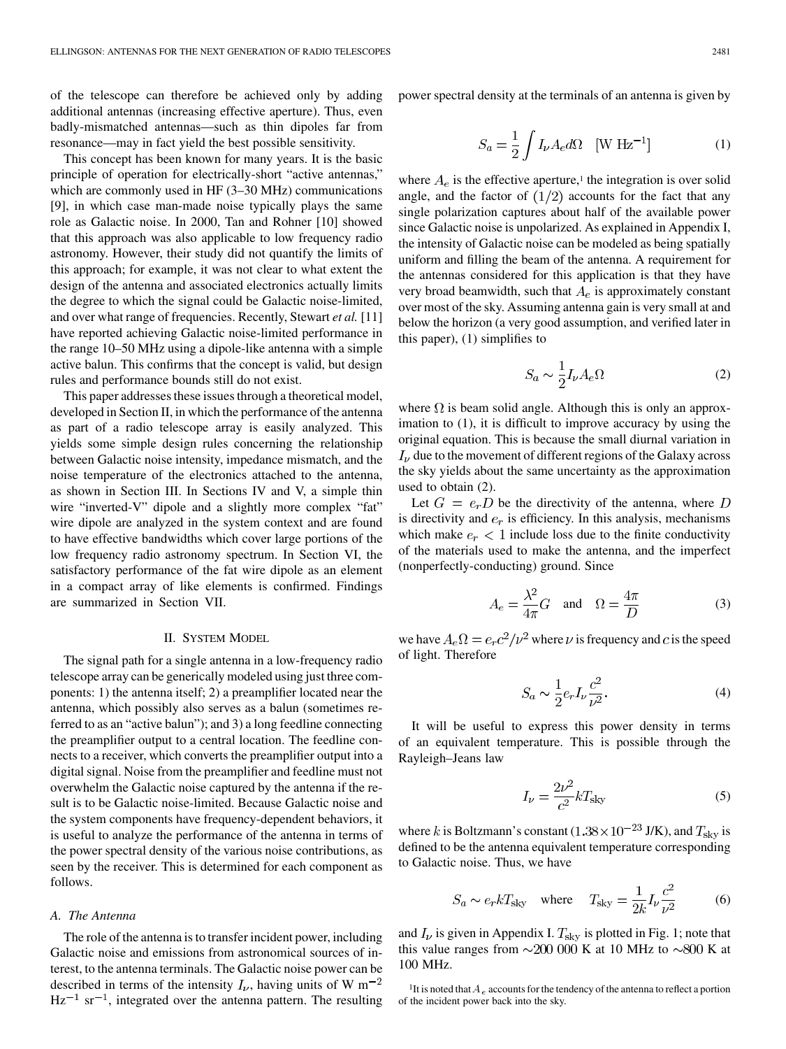of the telescope can therefore be achieved only by adding additional antennas (increasing effective aperture). Thus, even badly-mismatched antennas—such as thin dipoles far from resonance—may in fact yield the best possible sensitivity.

This concept has been known for many years. It is the basic principle of operation for electrically-short "active antennas," which are commonly used in HF (3–30 MHz) communications [\[9](#page-9-0)], in which case man-made noise typically plays the same role as Galactic noise. In 2000, Tan and Rohner [\[10](#page-9-0)] showed that this approach was also applicable to low frequency radio astronomy. However, their study did not quantify the limits of this approach; for example, it was not clear to what extent the design of the antenna and associated electronics actually limits the degree to which the signal could be Galactic noise-limited, and over what range of frequencies. Recently, Stewart *et al.* [[11\]](#page-9-0) have reported achieving Galactic noise-limited performance in the range 10–50 MHz using a dipole-like antenna with a simple active balun. This confirms that the concept is valid, but design rules and performance bounds still do not exist.

This paper addresses these issues through a theoretical model, developed in Section II, in which the performance of the antenna as part of a radio telescope array is easily analyzed. This yields some simple design rules concerning the relationship between Galactic noise intensity, impedance mismatch, and the noise temperature of the electronics attached to the antenna, as shown in Section III. In Sections IV and V, a simple thin wire "inverted-V" dipole and a slightly more complex "fat" wire dipole are analyzed in the system context and are found to have effective bandwidths which cover large portions of the low frequency radio astronomy spectrum. In Section VI, the satisfactory performance of the fat wire dipole as an element in a compact array of like elements is confirmed. Findings are summarized in Section VII.

## II. SYSTEM MODEL

The signal path for a single antenna in a low-frequency radio telescope array can be generically modeled using just three components: 1) the antenna itself; 2) a preamplifier located near the antenna, which possibly also serves as a balun (sometimes referred to as an "active balun"); and 3) a long feedline connecting the preamplifier output to a central location. The feedline connects to a receiver, which converts the preamplifier output into a digital signal. Noise from the preamplifier and feedline must not overwhelm the Galactic noise captured by the antenna if the result is to be Galactic noise-limited. Because Galactic noise and the system components have frequency-dependent behaviors, it is useful to analyze the performance of the antenna in terms of the power spectral density of the various noise contributions, as seen by the receiver. This is determined for each component as follows.

## *A. The Antenna*

The role of the antenna is to transfer incident power, including Galactic noise and emissions from astronomical sources of interest, to the antenna terminals. The Galactic noise power can be described in terms of the intensity  $I_{\nu}$ , having units of W m<sup>-2</sup>  $Hz^{-1}$  sr<sup>-1</sup>, integrated over the antenna pattern. The resulting power spectral density at the terminals of an antenna is given by

$$
S_a = \frac{1}{2} \int I_{\nu} A_e d\Omega \quad [\text{W Hz}^{-1}] \tag{1}
$$

where  $A_e$  is the effective aperture,<sup>1</sup> the integration is over solid angle, and the factor of  $(1/2)$  accounts for the fact that any single polarization captures about half of the available power since Galactic noise is unpolarized. As explained in Appendix I, the intensity of Galactic noise can be modeled as being spatially uniform and filling the beam of the antenna. A requirement for the antennas considered for this application is that they have very broad beamwidth, such that  $A_e$  is approximately constant over most of the sky. Assuming antenna gain is very small at and below the horizon (a very good assumption, and verified later in this paper), (1) simplifies to

$$
S_a \sim \frac{1}{2} I_{\nu} A_e \Omega \tag{2}
$$

where  $\Omega$  is beam solid angle. Although this is only an approximation to (1), it is difficult to improve accuracy by using the original equation. This is because the small diurnal variation in  $I_{\nu}$  due to the movement of different regions of the Galaxy across the sky yields about the same uncertainty as the approximation used to obtain (2).

Let  $G = e_r D$  be the directivity of the antenna, where D is directivity and  $e_r$  is efficiency. In this analysis, mechanisms which make  $e_r < 1$  include loss due to the finite conductivity of the materials used to make the antenna, and the imperfect (nonperfectly-conducting) ground. Since

$$
A_e = \frac{\lambda^2}{4\pi} G \quad \text{and} \quad \Omega = \frac{4\pi}{D} \tag{3}
$$

we have  $A_e \Omega = e_r c^2 / \nu^2$  where  $\nu$  is frequency and c is the speed of light. Therefore

$$
S_a \sim \frac{1}{2} e_r I_\nu \frac{c^2}{\nu^2}.\tag{4}
$$

It will be useful to express this power density in terms of an equivalent temperature. This is possible through the Rayleigh–Jeans law

$$
I_{\nu} = \frac{2\nu^2}{c^2} k T_{\text{sky}} \tag{5}
$$

where k is Boltzmann's constant  $(1.38 \times 10^{-23} \text{ J/K})$ , and  $T_{\text{sky}}$  is defined to be the antenna equivalent temperature corresponding to Galactic noise. Thus, we have

$$
S_a \sim e_r k T_{\rm sky} \quad \text{where} \quad T_{\rm sky} = \frac{1}{2k} I_\nu \frac{c^2}{\nu^2} \tag{6}
$$

and  $I_{\nu}$  is given in Appendix I.  $T_{\rm sky}$  is plotted in Fig. 1; note that this value ranges from  $\sim$  200 000 K at 10 MHz to  $\sim$ 800 K at 100 MHz.

<sup>&</sup>lt;sup>1</sup>It is noted that  $A_e$  accounts for the tendency of the antenna to reflect a portion of the incident power back into the sky.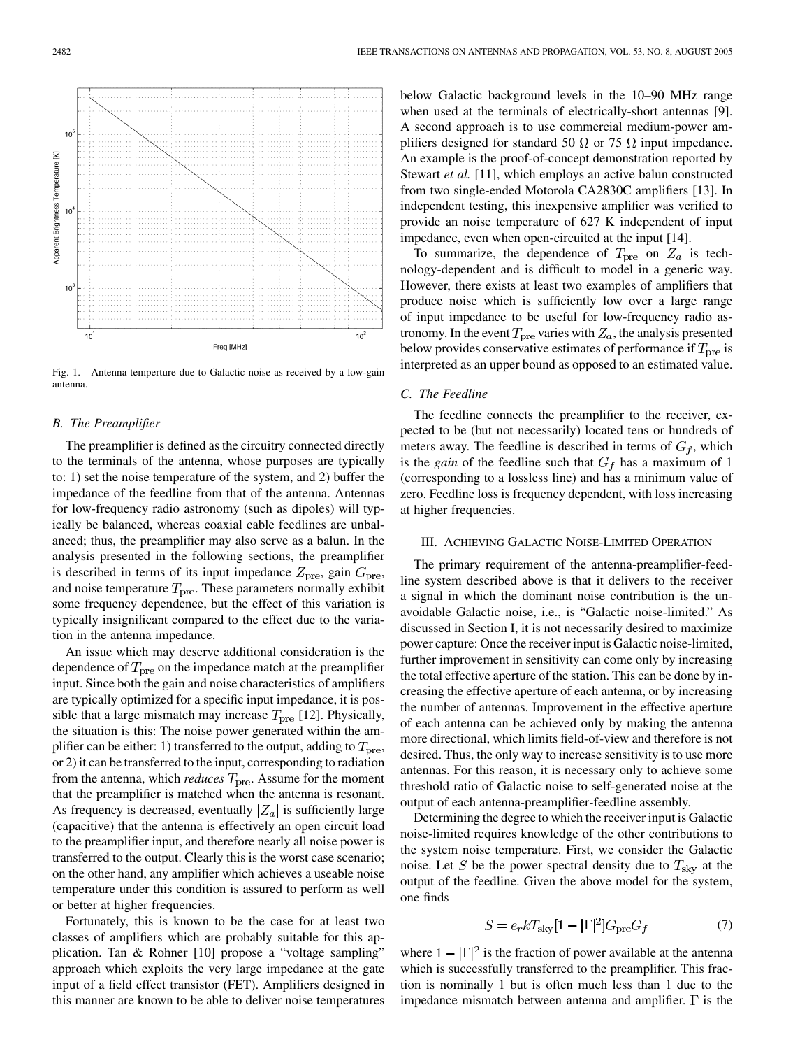Fig. 1. Antenna temperture due to Galactic noise as received by a low-gain antenna.

# *B. The Preamplifier*

The preamplifier is defined as the circuitry connected directly to the terminals of the antenna, whose purposes are typically to: 1) set the noise temperature of the system, and 2) buffer the impedance of the feedline from that of the antenna. Antennas for low-frequency radio astronomy (such as dipoles) will typically be balanced, whereas coaxial cable feedlines are unbalanced; thus, the preamplifier may also serve as a balun. In the analysis presented in the following sections, the preamplifier is described in terms of its input impedance  $Z_{\text{pre}}$ , gain  $G_{\text{pre}}$ , and noise temperature  $T_{\text{pre}}$ . These parameters normally exhibit some frequency dependence, but the effect of this variation is typically insignificant compared to the effect due to the variation in the antenna impedance.

An issue which may deserve additional consideration is the dependence of  $T_{\text{pre}}$  on the impedance match at the preamplifier input. Since both the gain and noise characteristics of amplifiers are typically optimized for a specific input impedance, it is possible that a large mismatch may increase  $T_{\text{pre}}$  [[12\]](#page-9-0). Physically, the situation is this: The noise power generated within the amplifier can be either: 1) transferred to the output, adding to  $T_{\text{pre}}$ , or 2) it can be transferred to the input, corresponding to radiation from the antenna, which *reduces*  $T_{\text{pre}}$ . Assume for the moment that the preamplifier is matched when the antenna is resonant. As frequency is decreased, eventually  $|Z_a|$  is sufficiently large (capacitive) that the antenna is effectively an open circuit load to the preamplifier input, and therefore nearly all noise power is transferred to the output. Clearly this is the worst case scenario; on the other hand, any amplifier which achieves a useable noise temperature under this condition is assured to perform as well or better at higher frequencies.

Fortunately, this is known to be the case for at least two classes of amplifiers which are probably suitable for this application. Tan & Rohner [\[10](#page-9-0)] propose a "voltage sampling" approach which exploits the very large impedance at the gate input of a field effect transistor (FET). Amplifiers designed in this manner are known to be able to deliver noise temperatures below Galactic background levels in the 10–90 MHz range when used at the terminals of electrically-short antennas [[9\]](#page-9-0). A second approach is to use commercial medium-power amplifiers designed for standard 50  $\Omega$  or 75  $\Omega$  input impedance. An example is the proof-of-concept demonstration reported by Stewart *et al.* [[11\]](#page-9-0), which employs an active balun constructed from two single-ended Motorola CA2830C amplifiers [[13\]](#page-9-0). In independent testing, this inexpensive amplifier was verified to provide an noise temperature of 627 K independent of input impedance, even when open-circuited at the input [[14\]](#page-9-0).

To summarize, the dependence of  $T_{\text{pre}}$  on  $Z_a$  is technology-dependent and is difficult to model in a generic way. However, there exists at least two examples of amplifiers that produce noise which is sufficiently low over a large range of input impedance to be useful for low-frequency radio astronomy. In the event  $T_{pre}$  varies with  $Z_a$ , the analysis presented below provides conservative estimates of performance if  $T_{\text{pre}}$  is interpreted as an upper bound as opposed to an estimated value.

#### *C. The Feedline*

The feedline connects the preamplifier to the receiver, expected to be (but not necessarily) located tens or hundreds of meters away. The feedline is described in terms of  $G_f$ , which is the *gain* of the feedline such that  $G_f$  has a maximum of 1 (corresponding to a lossless line) and has a minimum value of zero. Feedline loss is frequency dependent, with loss increasing at higher frequencies.

## III. ACHIEVING GALACTIC NOISE-LIMITED OPERATION

The primary requirement of the antenna-preamplifier-feedline system described above is that it delivers to the receiver a signal in which the dominant noise contribution is the unavoidable Galactic noise, i.e., is "Galactic noise-limited." As discussed in Section I, it is not necessarily desired to maximize power capture: Once the receiver input is Galactic noise-limited, further improvement in sensitivity can come only by increasing the total effective aperture of the station. This can be done by increasing the effective aperture of each antenna, or by increasing the number of antennas. Improvement in the effective aperture of each antenna can be achieved only by making the antenna more directional, which limits field-of-view and therefore is not desired. Thus, the only way to increase sensitivity is to use more antennas. For this reason, it is necessary only to achieve some threshold ratio of Galactic noise to self-generated noise at the output of each antenna-preamplifier-feedline assembly.

Determining the degree to which the receiver input is Galactic noise-limited requires knowledge of the other contributions to the system noise temperature. First, we consider the Galactic noise. Let S be the power spectral density due to  $T_{\text{sky}}$  at the output of the feedline. Given the above model for the system, one finds

$$
S = e_r k T_{\rm sky} [1 - |\Gamma|^2] G_{\rm pre} G_f \tag{7}
$$

where  $1 - |\Gamma|^2$  is the fraction of power available at the antenna which is successfully transferred to the preamplifier. This fraction is nominally 1 but is often much less than 1 due to the impedance mismatch between antenna and amplifier.  $\Gamma$  is the

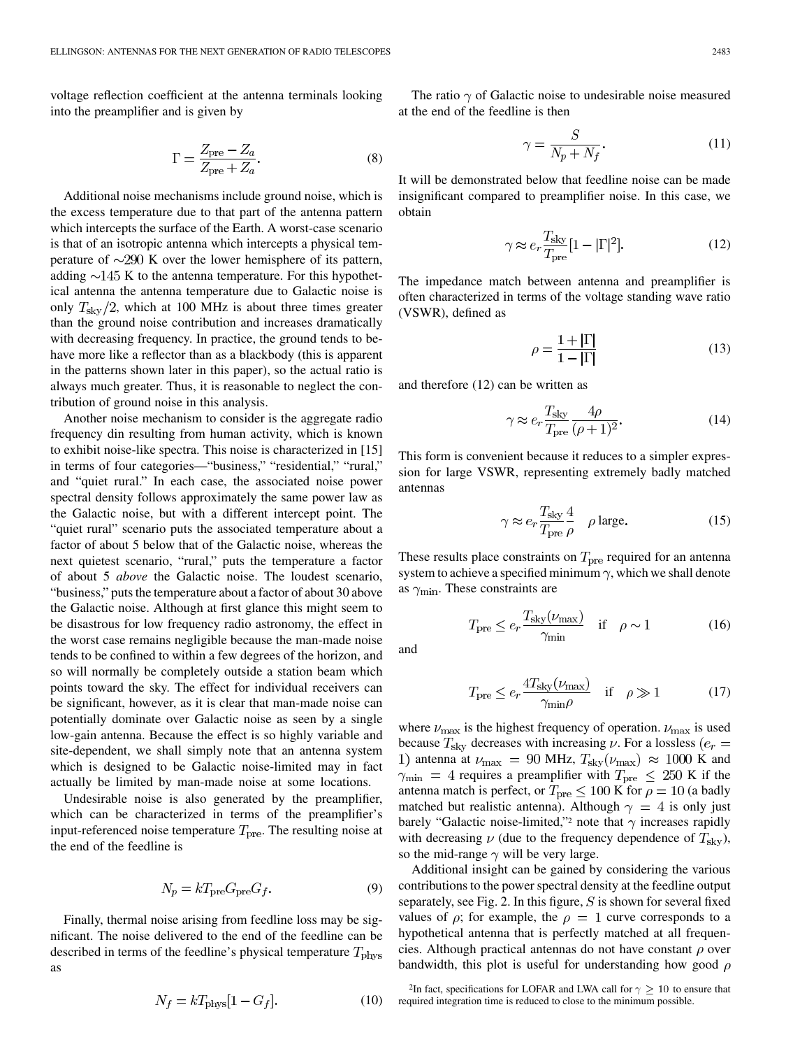voltage reflection coefficient at the antenna terminals looking into the preamplifier and is given by

$$
\Gamma = \frac{Z_{\text{pre}} - Z_a}{Z_{\text{pre}} + Z_a}.
$$
\n(8)

Additional noise mechanisms include ground noise, which is the excess temperature due to that part of the antenna pattern which intercepts the surface of the Earth. A worst-case scenario is that of an isotropic antenna which intercepts a physical temperature of  $\sim$ 290 K over the lower hemisphere of its pattern, adding  $\sim$ 145 K to the antenna temperature. For this hypothetical antenna the antenna temperature due to Galactic noise is only  $T_{\rm sky}/2$ , which at 100 MHz is about three times greater than the ground noise contribution and increases dramatically with decreasing frequency. In practice, the ground tends to behave more like a reflector than as a blackbody (this is apparent in the patterns shown later in this paper), so the actual ratio is always much greater. Thus, it is reasonable to neglect the contribution of ground noise in this analysis.

Another noise mechanism to consider is the aggregate radio frequency din resulting from human activity, which is known to exhibit noise-like spectra. This noise is characterized in [[15\]](#page-9-0) in terms of four categories—"business," "residential," "rural," and "quiet rural." In each case, the associated noise power spectral density follows approximately the same power law as the Galactic noise, but with a different intercept point. The "quiet rural" scenario puts the associated temperature about a factor of about 5 below that of the Galactic noise, whereas the next quietest scenario, "rural," puts the temperature a factor of about 5 *above* the Galactic noise. The loudest scenario, "business," puts the temperature about a factor of about 30 above the Galactic noise. Although at first glance this might seem to be disastrous for low frequency radio astronomy, the effect in the worst case remains negligible because the man-made noise tends to be confined to within a few degrees of the horizon, and so will normally be completely outside a station beam which points toward the sky. The effect for individual receivers can be significant, however, as it is clear that man-made noise can potentially dominate over Galactic noise as seen by a single low-gain antenna. Because the effect is so highly variable and site-dependent, we shall simply note that an antenna system which is designed to be Galactic noise-limited may in fact actually be limited by man-made noise at some locations.

Undesirable noise is also generated by the preamplifier, which can be characterized in terms of the preamplifier's input-referenced noise temperature  $T_{\text{pre}}$ . The resulting noise at the end of the feedline is

$$
N_p = kT_{\rm pre}G_{\rm pre}G_f.
$$
 (9)

Finally, thermal noise arising from feedline loss may be significant. The noise delivered to the end of the feedline can be described in terms of the feedline's physical temperature  $T_{\text{phys}}$ as

$$
N_f = kT_{\text{phys}}[1 - G_f].\tag{10}
$$

The ratio  $\gamma$  of Galactic noise to undesirable noise measured at the end of the feedline is then

$$
\gamma = \frac{S}{N_p + N_f}.\tag{11}
$$

It will be demonstrated below that feedline noise can be made insignificant compared to preamplifier noise. In this case, we obtain

$$
\gamma \approx e_r \frac{T_{\text{sky}}}{T_{\text{pre}}} [1 - |\Gamma|^2]. \tag{12}
$$

The impedance match between antenna and preamplifier is often characterized in terms of the voltage standing wave ratio (VSWR), defined as

$$
\rho = \frac{1 + |\Gamma|}{1 - |\Gamma|} \tag{13}
$$

and therefore (12) can be written as

$$
\gamma \approx e_r \frac{T_{\text{sky}}}{T_{\text{pre}}} \frac{4\rho}{(\rho + 1)^2}.
$$
 (14)

This form is convenient because it reduces to a simpler expression for large VSWR, representing extremely badly matched antennas

$$
\varphi \approx e_r \frac{T_{\text{sky}}}{T_{\text{pre}}} \frac{4}{\rho} \quad \rho \text{ large.}
$$
 (15)

These results place constraints on  $T_{\text{pre}}$  required for an antenna system to achieve a specified minimum  $\gamma$ , which we shall denote as  $\gamma_{\rm min}$ . These constraints are

$$
T_{\rm pre} \le e_r \frac{T_{\rm sky}(\nu_{\rm max})}{\gamma_{\rm min}} \quad \text{if} \quad \rho \sim 1 \tag{16}
$$

and

$$
T_{\rm pre} \le e_r \frac{4T_{\rm sky}(\nu_{\rm max})}{\gamma_{\rm min}\rho} \quad \text{if} \quad \rho \gg 1 \tag{17}
$$

where  $\nu_{\text{max}}$  is the highest frequency of operation.  $\nu_{\text{max}}$  is used because  $T_{\rm sky}$  decreases with increasing  $\nu$ . For a lossless ( $e_r =$ 1) antenna at  $\nu_{\text{max}} = 90 \text{ MHz}, T_{\text{sky}}(\nu_{\text{max}}) \approx 1000 \text{ K}$  and  $\gamma_{\rm min}$  = 4 requires a preamplifier with  $T_{\rm pre} \leq 250$  K if the antenna match is perfect, or  $T_{pre} \leq 100$  K for  $\rho = 10$  (a badly matched but realistic antenna). Although  $\gamma = 4$  is only just barely "Galactic noise-limited,"<sup>2</sup> note that  $\gamma$  increases rapidly with decreasing  $\nu$  (due to the frequency dependence of  $T_{\text{sky}}$ ), so the mid-range  $\gamma$  will be very large.

Additional insight can be gained by considering the various contributions to the power spectral density at the feedline output separately, see Fig. 2. In this figure,  $S$  is shown for several fixed values of  $\rho$ ; for example, the  $\rho = 1$  curve corresponds to a hypothetical antenna that is perfectly matched at all frequencies. Although practical antennas do not have constant  $\rho$  over bandwidth, this plot is useful for understanding how good  $\rho$ 

<sup>&</sup>lt;sup>2</sup>In fact, specifications for LOFAR and LWA call for  $\gamma \geq 10$  to ensure that required integration time is reduced to close to the minimum possible.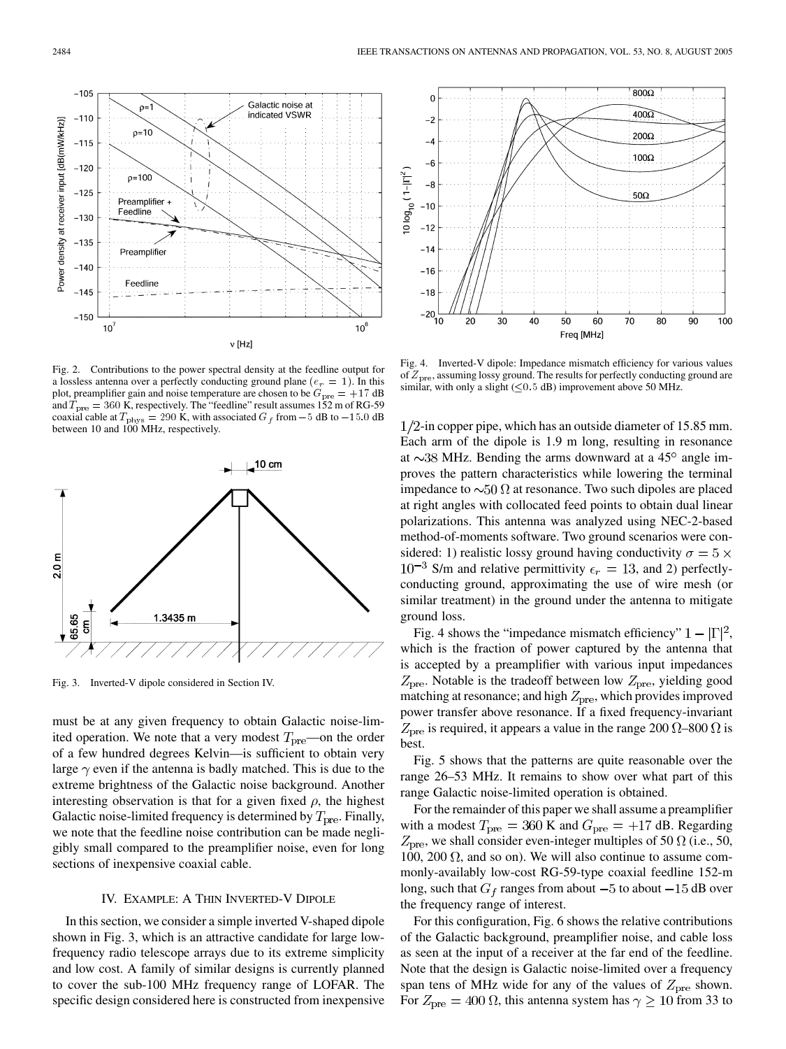Fig. 2. Contributions to the power spectral density at the feedline output for a lossless antenna over a perfectly conducting ground plane ( $e_r = 1$ ). In this plot, preamplifier gain and noise temperature are chosen to be  $G_{pre} = +17$  dB and  $\overline{T}_{\text{pre}} = 360$  K, respectively. The "feedline" result assumes 152 m of RG-59 coaxial cable at  $T_{\rm phys} = 290$  K, with associated  $G_f$  from  $-5$  dB to  $-15.0$  dB between 10 and 100 MHz, respectively.

 $v$  [Hz]

Galactic noise at indicated VSWR

 $10^8$ 



Fig. 3. Inverted-V dipole considered in Section IV.

must be at any given frequency to obtain Galactic noise-limited operation. We note that a very modest  $T_{\text{pre}}$ —on the order of a few hundred degrees Kelvin—is sufficient to obtain very large  $\gamma$  even if the antenna is badly matched. This is due to the extreme brightness of the Galactic noise background. Another interesting observation is that for a given fixed  $\rho$ , the highest Galactic noise-limited frequency is determined by  $T_{\text{pre}}$ . Finally, we note that the feedline noise contribution can be made negligibly small compared to the preamplifier noise, even for long sections of inexpensive coaxial cable.

#### IV. EXAMPLE: A THIN INVERTED-V DIPOLE

In this section, we consider a simple inverted V-shaped dipole shown in Fig. 3, which is an attractive candidate for large lowfrequency radio telescope arrays due to its extreme simplicity and low cost. A family of similar designs is currently planned to cover the sub-100 MHz frequency range of LOFAR. The specific design considered here is constructed from inexpensive



Fig. 4. Inverted-V dipole: Impedance mismatch efficiency for various values of  $Z_{\text{pre}}$ , assuming lossy ground. The results for perfectly conducting ground are similar, with only a slight  $(\leq 0.5$  dB) improvement above 50 MHz.

 $1/2$ -in copper pipe, which has an outside diameter of 15.85 mm. Each arm of the dipole is 1.9 m long, resulting in resonance at  $\sim$ 38 MHz. Bending the arms downward at a 45 $\degree$  angle improves the pattern characteristics while lowering the terminal impedance to  $\sim 50 \Omega$  at resonance. Two such dipoles are placed at right angles with collocated feed points to obtain dual linear polarizations. This antenna was analyzed using NEC-2-based method-of-moments software. Two ground scenarios were considered: 1) realistic lossy ground having conductivity  $\sigma = 5 \times$  $10^{-3}$  S/m and relative permittivity  $\epsilon_r = 13$ , and 2) perfectlyconducting ground, approximating the use of wire mesh (or similar treatment) in the ground under the antenna to mitigate ground loss.

Fig. 4 shows the "impedance mismatch efficiency"  $1 - |\Gamma|^2$ , which is the fraction of power captured by the antenna that is accepted by a preamplifier with various input impedances  $Z_{\text{pre}}$ . Notable is the tradeoff between low  $Z_{\text{pre}}$ , yielding good matching at resonance; and high  $Z_{\text{pre}}$ , which provides improved power transfer above resonance. If a fixed frequency-invariant  $Z_{\text{pre}}$  is required, it appears a value in the range 200  $\Omega$ –800  $\Omega$  is best.

Fig. 5 shows that the patterns are quite reasonable over the range 26–53 MHz. It remains to show over what part of this range Galactic noise-limited operation is obtained.

For the remainder of this paper we shall assume a preamplifier with a modest  $T_{\text{pre}} = 360$  K and  $G_{\text{pre}} = +17$  dB. Regarding  $Z_{\text{pre}}$ , we shall consider even-integer multiples of 50  $\Omega$  (i.e., 50, 100, 200  $\Omega$ , and so on). We will also continue to assume commonly-availably low-cost RG-59-type coaxial feedline 152-m long, such that  $G_f$  ranges from about  $-5$  to about  $-15$  dB over the frequency range of interest.

For this configuration, Fig. 6 shows the relative contributions of the Galactic background, preamplifier noise, and cable loss as seen at the input of a receiver at the far end of the feedline. Note that the design is Galactic noise-limited over a frequency span tens of MHz wide for any of the values of  $Z_{\text{pre}}$  shown. For  $Z_{pre} = 400 \Omega$ , this antenna system has  $\gamma \ge 10$  from 33 to

Power density at receiver input [dB(mW/kHz)]

 $-105$ 

 $-110$ 

 $-115$ 

 $-120$ 

 $-125$ 

 $-130$ 

 $-135$ 

 $-140$ 

 $-145$ 

 $-150$ 

 $10$ 

 $p = 10$ 

 $p=100$ 

Preamplifier

Preamplifier

Feedline

Feedline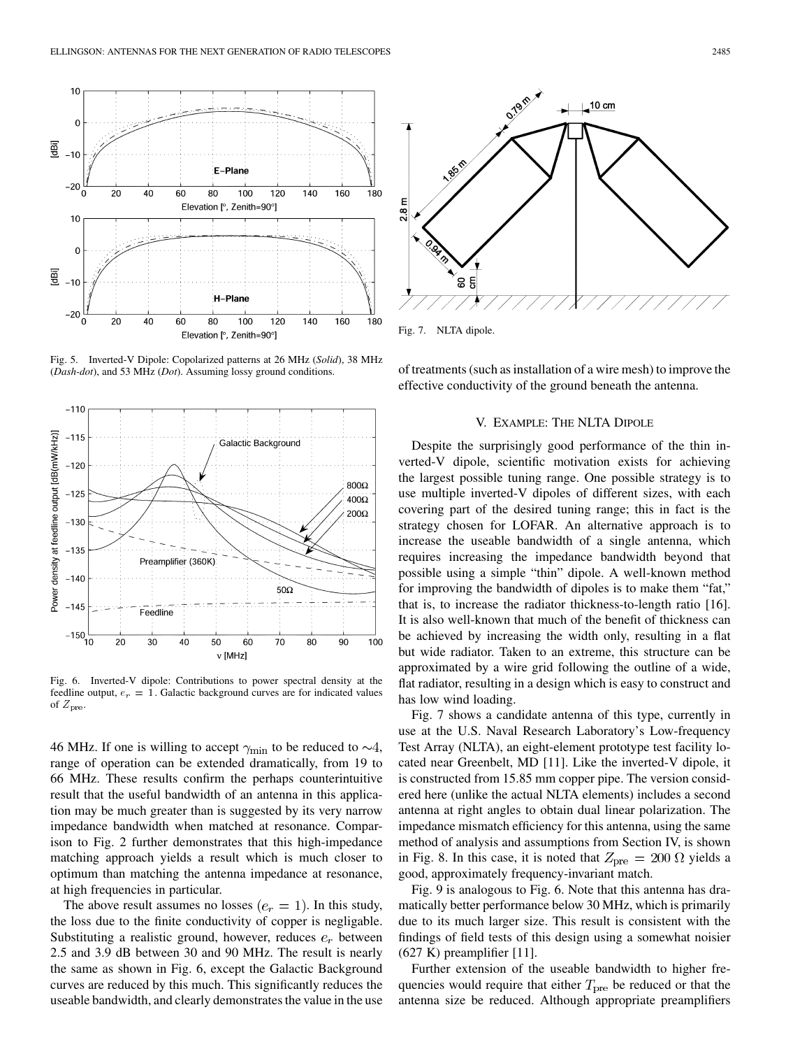

Fig. 5. Inverted-V Dipole: Copolarized patterns at 26 MHz (*Solid*), 38 MHz (*Dash-dot*), and 53 MHz (*Dot*). Assuming lossy ground conditions.



Fig. 6. Inverted-V dipole: Contributions to power spectral density at the feedline output,  $e_r = 1$ . Galactic background curves are for indicated values of  $Z_{pre}$ .

46 MHz. If one is willing to accept  $\gamma_{\text{min}}$  to be reduced to  $\sim$ 4, range of operation can be extended dramatically, from 19 to 66 MHz. These results confirm the perhaps counterintuitive result that the useful bandwidth of an antenna in this application may be much greater than is suggested by its very narrow impedance bandwidth when matched at resonance. Comparison to Fig. 2 further demonstrates that this high-impedance matching approach yields a result which is much closer to optimum than matching the antenna impedance at resonance, at high frequencies in particular.

The above result assumes no losses  $(e_r = 1)$ . In this study, the loss due to the finite conductivity of copper is negligable. Substituting a realistic ground, however, reduces  $e_r$  between 2.5 and 3.9 dB between 30 and 90 MHz. The result is nearly the same as shown in Fig. 6, except the Galactic Background curves are reduced by this much. This significantly reduces the useable bandwidth, and clearly demonstrates the value in the use



Fig. 7. NLTA dipole.

of treatments (such as installation of a wire mesh) to improve the effective conductivity of the ground beneath the antenna.

#### V. EXAMPLE: THE NLTA DIPOLE

Despite the surprisingly good performance of the thin inverted-V dipole, scientific motivation exists for achieving the largest possible tuning range. One possible strategy is to use multiple inverted-V dipoles of different sizes, with each covering part of the desired tuning range; this in fact is the strategy chosen for LOFAR. An alternative approach is to increase the useable bandwidth of a single antenna, which requires increasing the impedance bandwidth beyond that possible using a simple "thin" dipole. A well-known method for improving the bandwidth of dipoles is to make them "fat," that is, to increase the radiator thickness-to-length ratio [\[16](#page-9-0)]. It is also well-known that much of the benefit of thickness can be achieved by increasing the width only, resulting in a flat but wide radiator. Taken to an extreme, this structure can be approximated by a wire grid following the outline of a wide, flat radiator, resulting in a design which is easy to construct and has low wind loading.

Fig. 7 shows a candidate antenna of this type, currently in use at the U.S. Naval Research Laboratory's Low-frequency Test Array (NLTA), an eight-element prototype test facility located near Greenbelt, MD [[11\]](#page-9-0). Like the inverted-V dipole, it is constructed from 15.85 mm copper pipe. The version considered here (unlike the actual NLTA elements) includes a second antenna at right angles to obtain dual linear polarization. The impedance mismatch efficiency for this antenna, using the same method of analysis and assumptions from Section IV, is shown in Fig. 8. In this case, it is noted that  $Z_{pre} = 200 \Omega$  yields a good, approximately frequency-invariant match.

Fig. 9 is analogous to Fig. 6. Note that this antenna has dramatically better performance below 30 MHz, which is primarily due to its much larger size. This result is consistent with the findings of field tests of this design using a somewhat noisier  $(627 \text{ K})$  preamplifier [\[11](#page-9-0)].

Further extension of the useable bandwidth to higher frequencies would require that either  $T_{\text{pre}}$  be reduced or that the antenna size be reduced. Although appropriate preamplifiers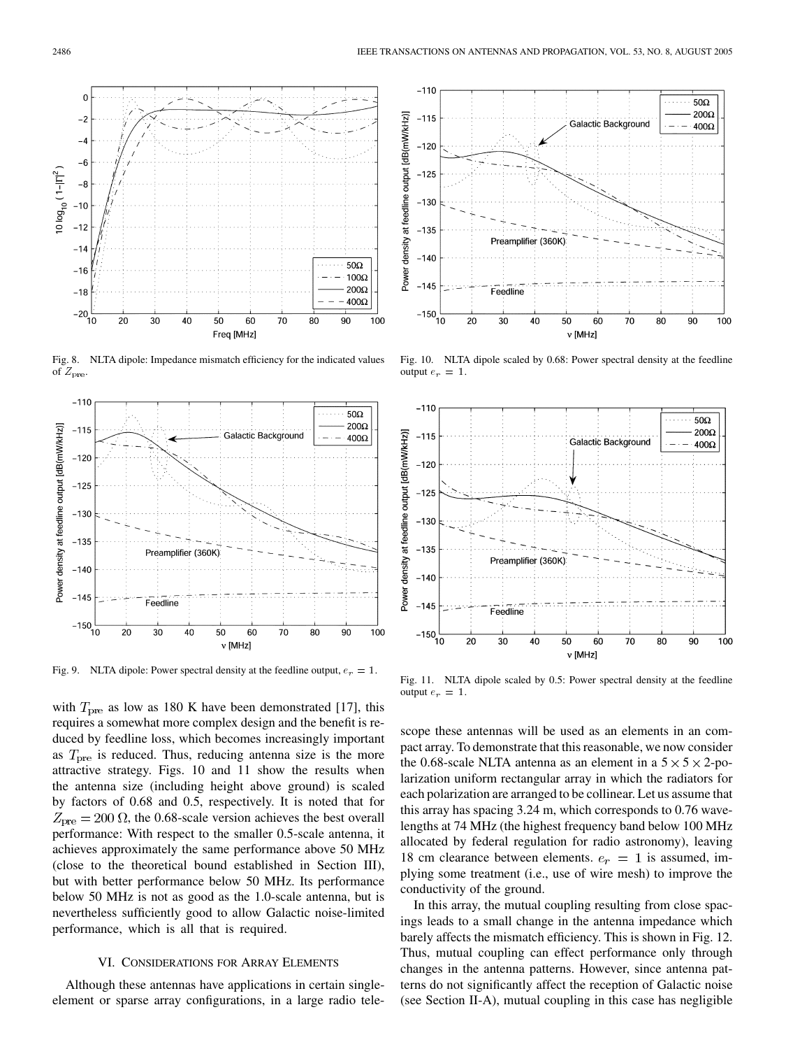

Fig. 8. NLTA dipole: Impedance mismatch efficiency for the indicated values of  $Z_{pre}$ .



Fig. 9. NLTA dipole: Power spectral density at the feedline output,  $e_r = 1$ .

with  $T_{\text{pre}}$  as low as 180 K have been demonstrated [\[17](#page-9-0)], this requires a somewhat more complex design and the benefit is reduced by feedline loss, which becomes increasingly important as  $T<sub>pre</sub>$  is reduced. Thus, reducing antenna size is the more attractive strategy. Figs. 10 and 11 show the results when the antenna size (including height above ground) is scaled by factors of 0.68 and 0.5, respectively. It is noted that for  $Z_{\text{pre}} = 200 \Omega$ , the 0.68-scale version achieves the best overall performance: With respect to the smaller 0.5-scale antenna, it achieves approximately the same performance above 50 MHz (close to the theoretical bound established in Section III), but with better performance below 50 MHz. Its performance below 50 MHz is not as good as the 1.0-scale antenna, but is nevertheless sufficiently good to allow Galactic noise-limited performance, which is all that is required.

# VI. CONSIDERATIONS FOR ARRAY ELEMENTS

Although these antennas have applications in certain singleelement or sparse array configurations, in a large radio tele-



Fig. 10. NLTA dipole scaled by 0.68: Power spectral density at the feedline output  $e_r = 1$ .



Fig. 11. NLTA dipole scaled by 0.5: Power spectral density at the feedline output  $e_r = 1$ .

scope these antennas will be used as an elements in an compact array. To demonstrate that this reasonable, we now consider the 0.68-scale NLTA antenna as an element in a  $5 \times 5 \times 2$ -polarization uniform rectangular array in which the radiators for each polarization are arranged to be collinear. Let us assume that this array has spacing 3.24 m, which corresponds to 0.76 wavelengths at 74 MHz (the highest frequency band below 100 MHz allocated by federal regulation for radio astronomy), leaving 18 cm clearance between elements.  $e_r = 1$  is assumed, implying some treatment (i.e., use of wire mesh) to improve the conductivity of the ground.

In this array, the mutual coupling resulting from close spacings leads to a small change in the antenna impedance which barely affects the mismatch efficiency. This is shown in Fig. 12. Thus, mutual coupling can effect performance only through changes in the antenna patterns. However, since antenna patterns do not significantly affect the reception of Galactic noise (see Section II-A), mutual coupling in this case has negligible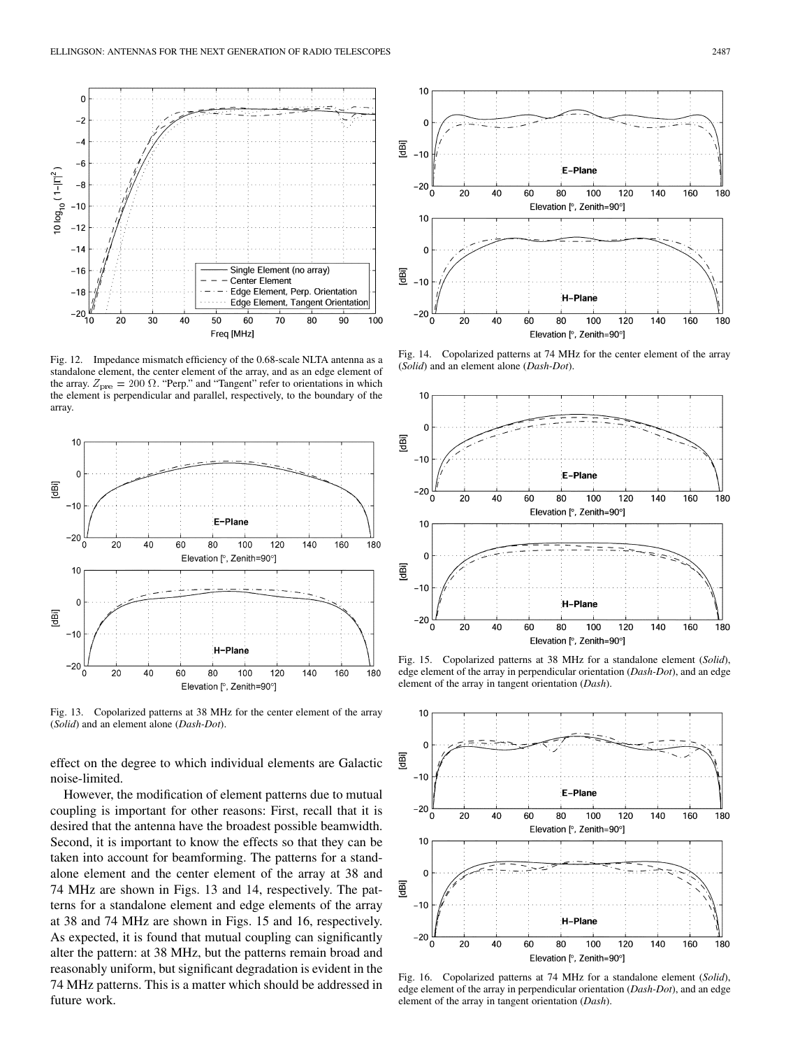

Fig. 12. Impedance mismatch efficiency of the 0.68-scale NLTA antenna as a standalone element, the center element of the array, and as an edge element of the array.  $Z_{\text{pre}} = 200 \Omega$ . "Perp." and "Tangent" refer to orientations in which the element is perpendicular and parallel, respectively, to the boundary of the array.



Fig. 13. Copolarized patterns at 38 MHz for the center element of the array (*Solid*) and an element alone (*Dash-Dot*).

effect on the degree to which individual elements are Galactic noise-limited.

However, the modification of element patterns due to mutual coupling is important for other reasons: First, recall that it is desired that the antenna have the broadest possible beamwidth. Second, it is important to know the effects so that they can be taken into account for beamforming. The patterns for a standalone element and the center element of the array at 38 and 74 MHz are shown in Figs. 13 and 14, respectively. The patterns for a standalone element and edge elements of the array at 38 and 74 MHz are shown in Figs. 15 and 16, respectively. As expected, it is found that mutual coupling can significantly alter the pattern: at 38 MHz, but the patterns remain broad and reasonably uniform, but significant degradation is evident in the 74 MHz patterns. This is a matter which should be addressed in future work.



Fig. 14. Copolarized patterns at 74 MHz for the center element of the array (*Solid*) and an element alone (*Dash-Dot*).



Fig. 15. Copolarized patterns at 38 MHz for a standalone element (*Solid*), edge element of the array in perpendicular orientation (*Dash-Dot*), and an edge element of the array in tangent orientation (*Dash*).



Fig. 16. Copolarized patterns at 74 MHz for a standalone element (*Solid*), edge element of the array in perpendicular orientation (*Dash-Dot*), and an edge element of the array in tangent orientation (*Dash*).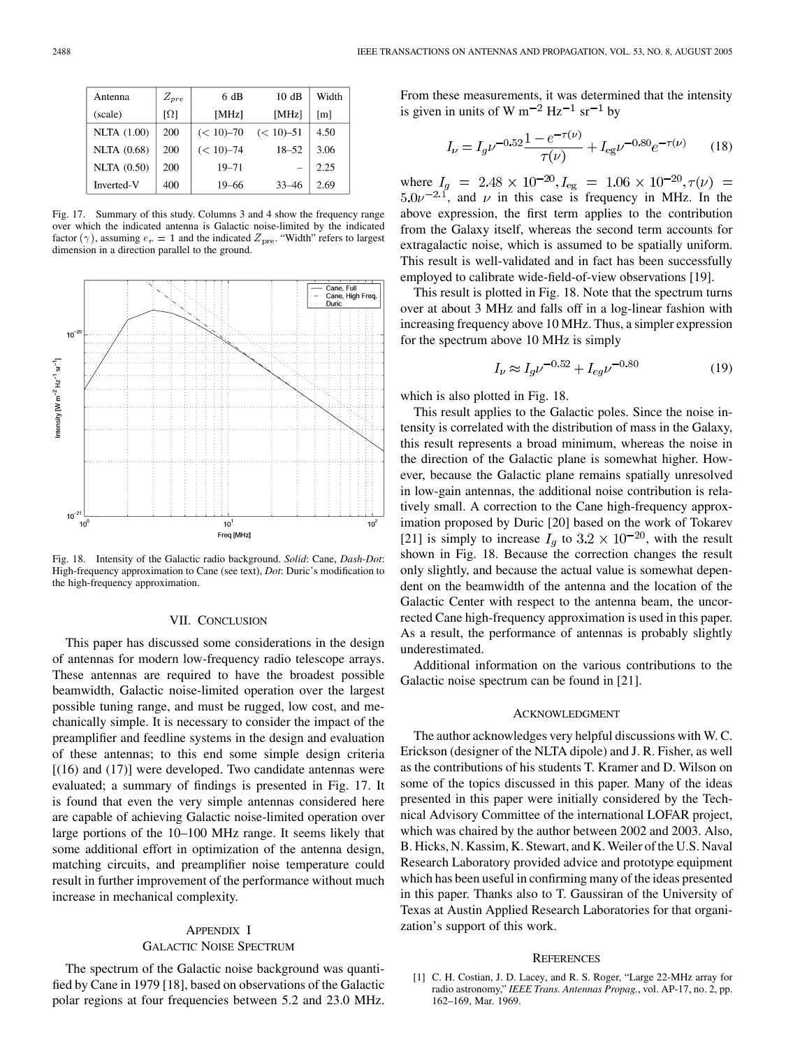<span id="page-8-0"></span>

| Antenna              | $Z_{pre}$              | 6 dB          | 10dB          | Width             |
|----------------------|------------------------|---------------|---------------|-------------------|
| (scale)              | $\lceil \Omega \rceil$ | [MHz]         | [MHz]         | $\lceil m \rceil$ |
| <b>NLTA</b> $(1.00)$ | 200                    | $(< 10) - 70$ | $(< 10) - 51$ | 4.50              |
| <b>NLTA</b> (0.68)   | 200                    | $(< 10) - 74$ | $18 - 52$     | 3.06              |
| <b>NLTA</b> (0.50)   | 200                    | $19 - 71$     |               | 2.25              |
| Inverted-V           | 400                    | 19–66         | 33–46         | 2.69              |

Fig. 17. Summary of this study. Columns 3 and 4 show the frequency range over which the indicated antenna is Galactic noise-limited by the indicated factor ( $\gamma$ ), assuming  $e_r = 1$  and the indicated  $Z_{pre}$ . "Width" refers to largest dimension in a direction parallel to the ground.



Fig. 18. Intensity of the Galactic radio background. *Solid*: Cane, *Dash-Dot*: High-frequency approximation to Cane (see text), *Dot*: Duric's modification to the high-frequency approximation.

# VII. CONCLUSION

This paper has discussed some considerations in the design of antennas for modern low-frequency radio telescope arrays. These antennas are required to have the broadest possible beamwidth, Galactic noise-limited operation over the largest possible tuning range, and must be rugged, low cost, and mechanically simple. It is necessary to consider the impact of the preamplifier and feedline systems in the design and evaluation of these antennas; to this end some simple design criteria  $[(16)$  and  $(17)]$  were developed. Two candidate antennas were evaluated; a summary of findings is presented in Fig. 17. It is found that even the very simple antennas considered here are capable of achieving Galactic noise-limited operation over large portions of the 10–100 MHz range. It seems likely that some additional effort in optimization of the antenna design, matching circuits, and preamplifier noise temperature could result in further improvement of the performance without much increase in mechanical complexity.

# APPENDIX I GALACTIC NOISE SPECTRUM

The spectrum of the Galactic noise background was quantified by Cane in 1979 [\[18](#page-9-0)], based on observations of the Galactic polar regions at four frequencies between 5.2 and 23.0 MHz.

From these measurements, it was determined that the intensity is given in units of W  $m^{-2}$  Hz<sup>-1</sup> sr<sup>-1</sup> by

$$
I_{\nu} = I_g \nu^{-0.52} \frac{1 - e^{-\tau(\nu)}}{\tau(\nu)} + I_{eg} \nu^{-0.80} e^{-\tau(\nu)} \qquad (18)
$$

where  $I_g = 2.48 \times 10^{-20}$ ,  $I_{\text{eg}} = 1.06 \times 10^{-20}$ ,  $\tau(\nu) =$  $5.0\nu^{-2.1}$ , and  $\nu$  in this case is frequency in MHz. In the above expression, the first term applies to the contribution from the Galaxy itself, whereas the second term accounts for extragalactic noise, which is assumed to be spatially uniform. This result is well-validated and in fact has been successfully employed to calibrate wide-field-of-view observations [\[19](#page-9-0)].

This result is plotted in Fig. 18. Note that the spectrum turns over at about 3 MHz and falls off in a log-linear fashion with increasing frequency above 10 MHz. Thus, a simpler expression for the spectrum above 10 MHz is simply

$$
I_{\nu} \approx I_q \nu^{-0.52} + I_{eq} \nu^{-0.80} \tag{19}
$$

which is also plotted in Fig. 18.

This result applies to the Galactic poles. Since the noise intensity is correlated with the distribution of mass in the Galaxy, this result represents a broad minimum, whereas the noise in the direction of the Galactic plane is somewhat higher. However, because the Galactic plane remains spatially unresolved in low-gain antennas, the additional noise contribution is relatively small. A correction to the Cane high-frequency approximation proposed by Duric [\[20](#page-9-0)] based on the work of Tokarev [[21\]](#page-9-0) is simply to increase  $I_g$  to  $3.2 \times 10^{-20}$ , with the result shown in Fig. 18. Because the correction changes the result only slightly, and because the actual value is somewhat dependent on the beamwidth of the antenna and the location of the Galactic Center with respect to the antenna beam, the uncorrected Cane high-frequency approximation is used in this paper. As a result, the performance of antennas is probably slightly underestimated.

Additional information on the various contributions to the Galactic noise spectrum can be found in [[21](#page-9-0)].

#### ACKNOWLEDGMENT

The author acknowledges very helpful discussions with W. C. Erickson (designer of the NLTA dipole) and J. R. Fisher, as well as the contributions of his students T. Kramer and D. Wilson on some of the topics discussed in this paper. Many of the ideas presented in this paper were initially considered by the Technical Advisory Committee of the international LOFAR project, which was chaired by the author between 2002 and 2003. Also, B. Hicks, N. Kassim, K. Stewart, and K. Weiler of the U.S. Naval Research Laboratory provided advice and prototype equipment which has been useful in confirming many of the ideas presented in this paper. Thanks also to T. Gaussiran of the University of Texas at Austin Applied Research Laboratories for that organization's support of this work.

#### **REFERENCES**

[1] C. H. Costian, J. D. Lacey, and R. S. Roger, "Large 22-MHz array for radio astronomy," *IEEE Trans. Antennas Propag.*, vol. AP-17, no. 2, pp. 162–169, Mar. 1969.